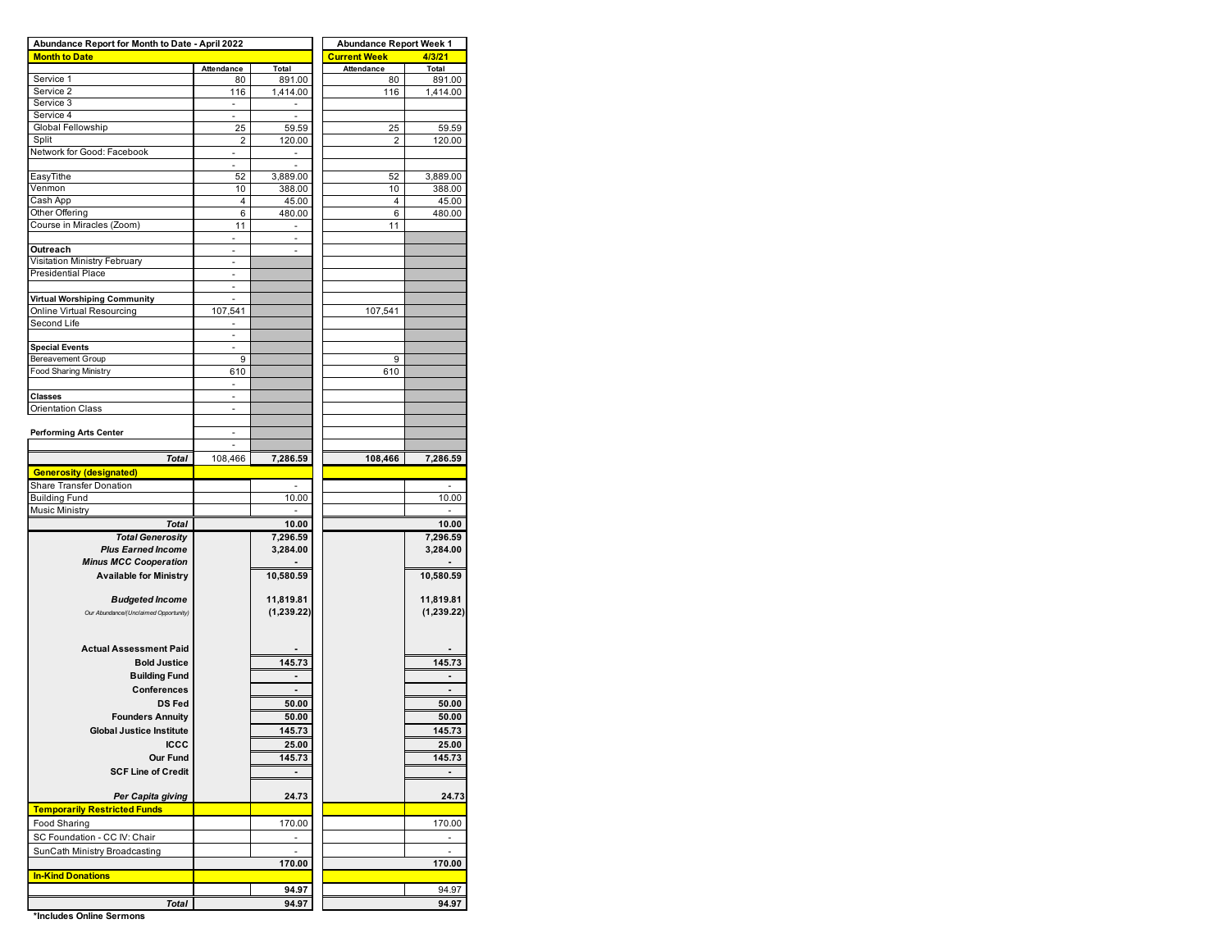| Abundance Report for Month to Date - April 2022 | <b>Abundance Report Week 1</b> |                          |                |            |  |  |  |
|-------------------------------------------------|--------------------------------|--------------------------|----------------|------------|--|--|--|
| <b>Month to Date</b>                            |                                |                          | Current Week   | 4/3/21     |  |  |  |
|                                                 | Attendance                     | Total                    | Attendance     | Total      |  |  |  |
| Service 1<br>Service 2                          | 80                             | 891.00                   | 80             | 891.00     |  |  |  |
| Service 3                                       | 116                            | 1,414.00                 | 116            | 1,414.00   |  |  |  |
| Service 4                                       | $\sim$                         | $\overline{\phantom{a}}$ |                |            |  |  |  |
| Global Fellowship                               | 25                             | 59.59                    | 25             | 59.59      |  |  |  |
| Split                                           | 2                              | 120.00                   | $\overline{2}$ | 120.00     |  |  |  |
| Network for Good: Facebook                      | $\overline{\phantom{a}}$       | ä,                       |                |            |  |  |  |
|                                                 | $\overline{\phantom{a}}$       | $\overline{\phantom{a}}$ |                |            |  |  |  |
| EasyTithe                                       | 52                             | 3,889.00                 | 52             | 3,889.00   |  |  |  |
| Venmon                                          | 10                             | 388.00                   | 10             | 388.00     |  |  |  |
| Cash App                                        | 4                              | 45.00                    | 4              | 45.00      |  |  |  |
| Other Offering                                  | 6                              | 480.00                   | 6              | 480.00     |  |  |  |
| Course in Miracles (Zoom)                       | 11                             | $\overline{\phantom{a}}$ | 11             |            |  |  |  |
| Outreach                                        |                                |                          |                |            |  |  |  |
| Visitation Ministry February                    | $\overline{\phantom{a}}$       |                          |                |            |  |  |  |
| <b>Presidential Place</b>                       |                                |                          |                |            |  |  |  |
|                                                 | ۰                              |                          |                |            |  |  |  |
| <b>Virtual Worshiping Community</b>             |                                |                          |                |            |  |  |  |
| Online Virtual Resourcing                       | 107,541                        |                          | 107,541        |            |  |  |  |
| Second Life                                     | ٠                              |                          |                |            |  |  |  |
|                                                 | ä,                             |                          |                |            |  |  |  |
| <b>Special Events</b>                           | ÷,                             |                          |                |            |  |  |  |
| <b>Bereavement Group</b>                        | 9                              |                          | 9              |            |  |  |  |
| <b>Food Sharing Ministry</b>                    | 610                            |                          | 610            |            |  |  |  |
| <b>Classes</b>                                  | ٠                              |                          |                |            |  |  |  |
| <b>Orientation Class</b>                        | ÷,                             |                          |                |            |  |  |  |
|                                                 |                                |                          |                |            |  |  |  |
| <b>Performing Arts Center</b>                   |                                |                          |                |            |  |  |  |
|                                                 | ä,                             |                          |                |            |  |  |  |
| <b>Total</b>                                    | 108,466                        | 7,286.59                 | 108,466        | 7,286.59   |  |  |  |
| <b>Generosity (designated)</b>                  |                                |                          |                |            |  |  |  |
| Share Transfer Donation                         |                                |                          |                | ٠          |  |  |  |
| <b>Building Fund</b>                            |                                | 10.00                    |                | 10.00      |  |  |  |
| <b>Music Ministry</b>                           |                                |                          |                |            |  |  |  |
| <b>Total</b>                                    |                                | 10.00                    |                | 10.00      |  |  |  |
| <b>Total Generosity</b>                         |                                | 7,296.59                 |                | 7,296.59   |  |  |  |
| <b>Plus Earned Income</b>                       |                                | 3,284.00                 |                | 3,284.00   |  |  |  |
| <b>Minus MCC Cooperation</b>                    |                                |                          |                |            |  |  |  |
| <b>Available for Ministry</b>                   |                                | 10,580.59                |                | 10,580.59  |  |  |  |
|                                                 |                                |                          |                |            |  |  |  |
| <b>Budgeted Income</b>                          |                                | 11,819.81                |                | 11,819.81  |  |  |  |
| Our Abundance/(Unclaimed Opportunity)           |                                | (1,239.22)               |                | (1,239.22) |  |  |  |
|                                                 |                                |                          |                |            |  |  |  |
| <b>Actual Assessment Paid</b>                   |                                |                          |                |            |  |  |  |
| <b>Bold Justice</b>                             |                                | 145.73                   |                | 145.73     |  |  |  |
| <b>Building Fund</b>                            |                                |                          |                |            |  |  |  |
| Conferences                                     |                                | ÷                        |                |            |  |  |  |
| <b>DS Fed</b>                                   |                                | 50.00                    |                | 50.00      |  |  |  |
| <b>Founders Annuity</b>                         |                                | 50.00                    |                | 50.00      |  |  |  |
| <b>Global Justice Institute</b>                 |                                |                          |                |            |  |  |  |
|                                                 |                                | 145.73                   |                | 145.73     |  |  |  |
| <b>ICCC</b>                                     |                                | 25.00                    |                | 25.00      |  |  |  |
| <b>Our Fund</b>                                 |                                | 145.73                   |                | 145.73     |  |  |  |
| <b>SCF Line of Credit</b>                       |                                |                          |                |            |  |  |  |
| Per Capita giving                               |                                | 24.73                    |                | 24.73      |  |  |  |
| <b>Temporarily Restricted Funds</b>             |                                |                          |                |            |  |  |  |
| Food Sharing                                    |                                |                          |                |            |  |  |  |
|                                                 |                                | 170.00                   |                | 170.00     |  |  |  |
| SC Foundation - CC IV: Chair                    |                                | ä,                       |                | ä,         |  |  |  |
| SunCath Ministry Broadcasting                   |                                | 170.00                   |                | 170.00     |  |  |  |
| <b>In-Kind Donations</b>                        |                                |                          |                |            |  |  |  |
|                                                 |                                | 94.97                    |                | 94.97      |  |  |  |
|                                                 |                                |                          |                |            |  |  |  |
| <b>Total</b>                                    |                                | 94.97                    |                | 94.97      |  |  |  |

**\*Includes Online Sermons**